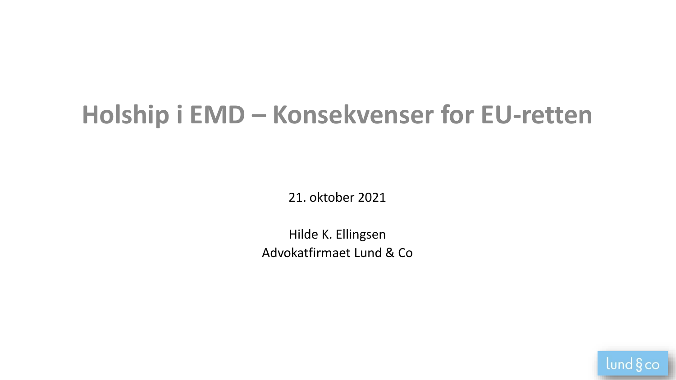# **Holship i EMD – Konsekvenser for EU-retten**

21. oktober 2021

Hilde K. Ellingsen Advokatfirmaet Lund & Co

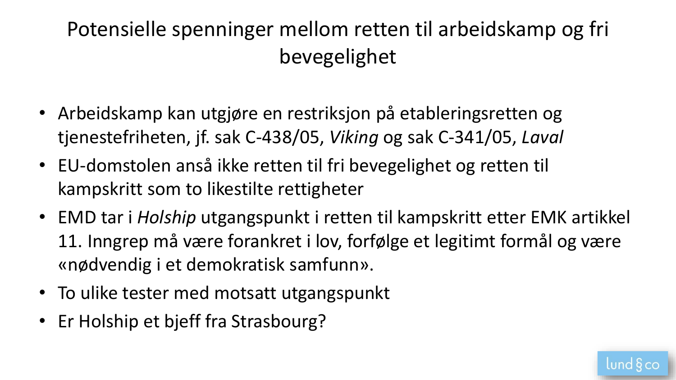## Potensielle spenninger mellom retten til arbeidskamp og fri bevegelighet

- Arbeidskamp kan utgjøre en restriksjon på etableringsretten og tjenestefriheten, jf. sak C-438/05, *Viking* og sak C-341/05, *Laval*
- EU-domstolen anså ikke retten til fri bevegelighet og retten til kampskritt som to likestilte rettigheter
- EMD tar i *Holship* utgangspunkt i retten til kampskritt etter EMK artikkel 11. Inngrep må være forankret i lov, forfølge et legitimt formål og være «nødvendig i et demokratisk samfunn».
- To ulike tester med motsatt utgangspunkt
- Er Holship et bjeff fra Strasbourg?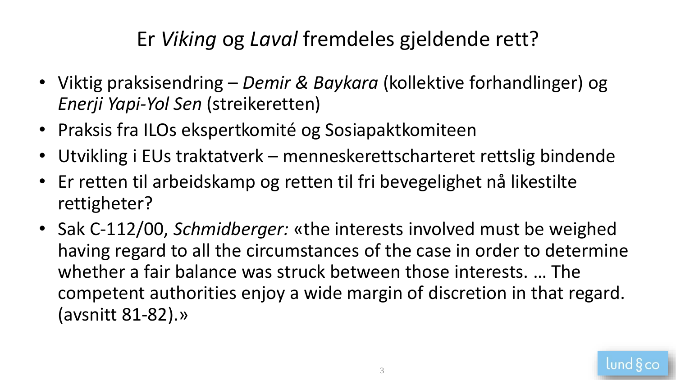### Er *Viking* og *Laval* fremdeles gjeldende rett?

- Viktig praksisendring *Demir & Baykara* (kollektive forhandlinger) og *Enerji Yapi-Yol Sen* (streikeretten)
- Praksis fra ILOs ekspertkomité og Sosiapaktkomiteen
- Utvikling i EUs traktatverk menneskerettscharteret rettslig bindende
- Er retten til arbeidskamp og retten til fri bevegelighet nå likestilte rettigheter?
- Sak C-112/00, *Schmidberger:* «the interests involved must be weighed having regard to all the circumstances of the case in order to determine whether a fair balance was struck between those interests. … The competent authorities enjoy a wide margin of discretion in that regard. (avsnitt 81-82).»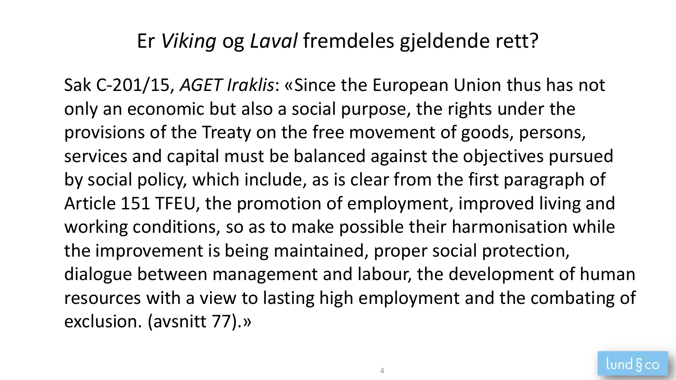#### Er *Viking* og *Laval* fremdeles gjeldende rett?

Sak C-201/15, *AGET Iraklis*: «Since the European Union thus has not only an economic but also a social purpose, the rights under the provisions of the Treaty on the free movement of goods, persons, services and capital must be balanced against the objectives pursued by social policy, which include, as is clear from the first paragraph of Article 151 TFEU, the promotion of employment, improved living and working conditions, so as to make possible their harmonisation while the improvement is being maintained, proper social protection, dialogue between management and labour, the development of human resources with a view to lasting high employment and the combating of exclusion. (avsnitt 77).»